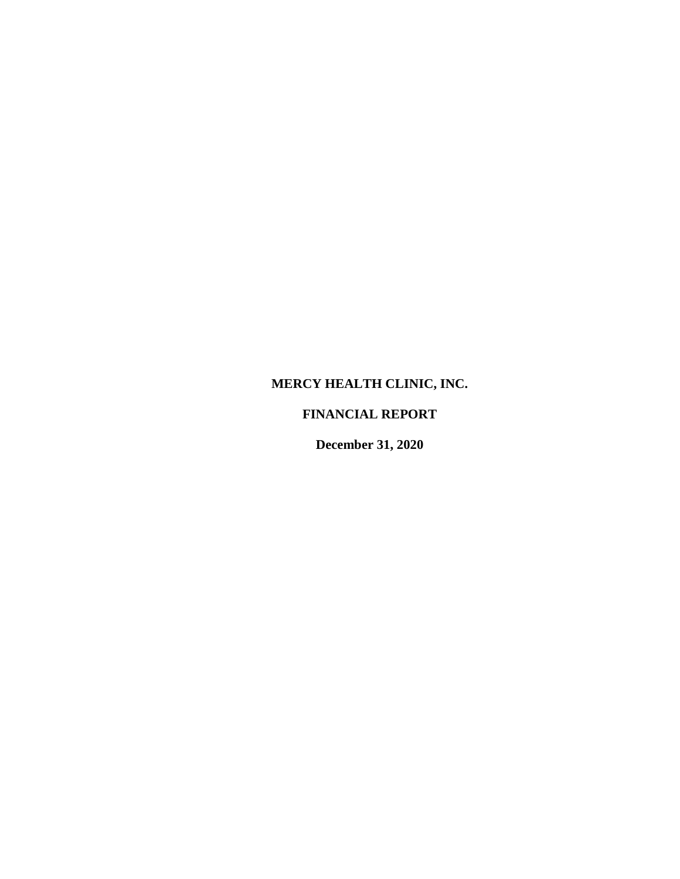## **MERCY HEALTH CLINIC, INC.**

## **FINANCIAL REPORT**

**December 31, 2020**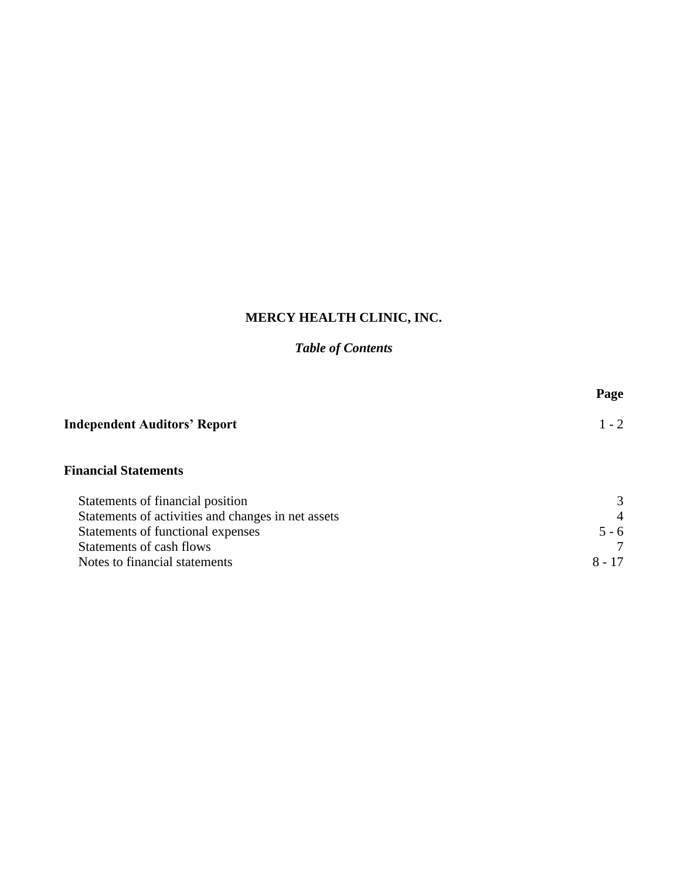# **MERCY HEALTH CLINIC, INC.**

## *Table of Contents*

|                                                    | Page           |
|----------------------------------------------------|----------------|
| <b>Independent Auditors' Report</b>                | $1 - 2$        |
| <b>Financial Statements</b>                        |                |
| Statements of financial position                   | 3              |
| Statements of activities and changes in net assets | $\overline{4}$ |
| Statements of functional expenses                  | $5 - 6$        |
| Statements of cash flows                           |                |
| Notes to financial statements                      | $8 - 17$       |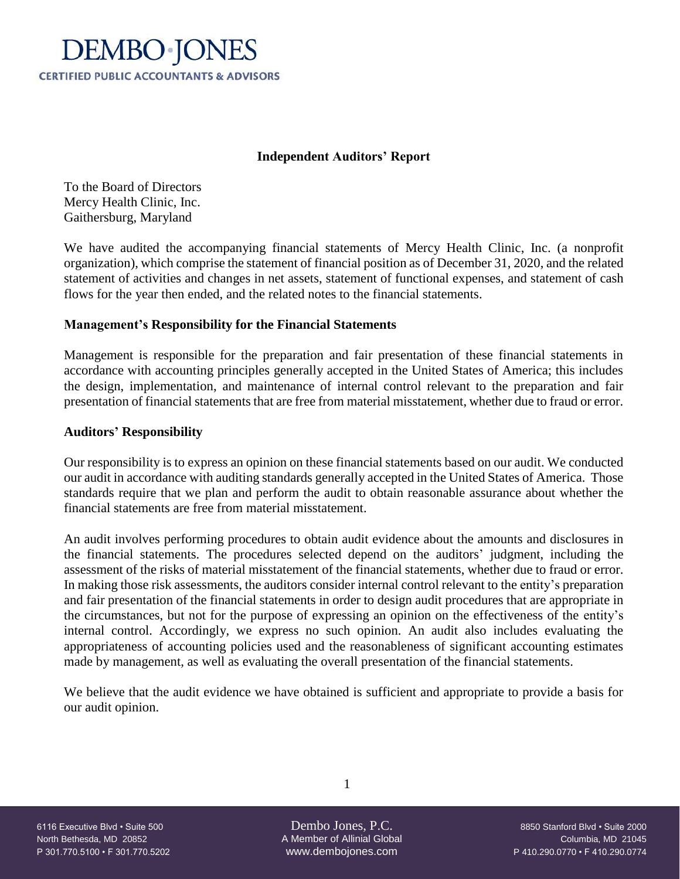

## **Independent Auditors' Report**

To the Board of Directors Mercy Health Clinic, Inc. Gaithersburg, Maryland

We have audited the accompanying financial statements of Mercy Health Clinic, Inc. (a nonprofit organization), which comprise the statement of financial position as of December 31, 2020, and the related statement of activities and changes in net assets, statement of functional expenses, and statement of cash flows for the year then ended, and the related notes to the financial statements.

## **Management's Responsibility for the Financial Statements**

Management is responsible for the preparation and fair presentation of these financial statements in accordance with accounting principles generally accepted in the United States of America; this includes the design, implementation, and maintenance of internal control relevant to the preparation and fair presentation of financial statements that are free from material misstatement, whether due to fraud or error.

## **Auditors' Responsibility**

Our responsibility is to express an opinion on these financial statements based on our audit. We conducted our audit in accordance with auditing standards generally accepted in the United States of America. Those standards require that we plan and perform the audit to obtain reasonable assurance about whether the financial statements are free from material misstatement.

An audit involves performing procedures to obtain audit evidence about the amounts and disclosures in the financial statements. The procedures selected depend on the auditors' judgment, including the assessment of the risks of material misstatement of the financial statements, whether due to fraud or error. In making those risk assessments, the auditors consider internal control relevant to the entity's preparation and fair presentation of the financial statements in order to design audit procedures that are appropriate in the circumstances, but not for the purpose of expressing an opinion on the effectiveness of the entity's internal control. Accordingly, we express no such opinion. An audit also includes evaluating the appropriateness of accounting policies used and the reasonableness of significant accounting estimates made by management, as well as evaluating the overall presentation of the financial statements.

We believe that the audit evidence we have obtained is sufficient and appropriate to provide a basis for our audit opinion.

North Bethesda, MD 20852 A Member of Allinial Global Columbia, MD 21045 P 301.770.5100 • F 301.770.5202 www.dembojones.com P 410.290.0770 • F 410.290.0774

1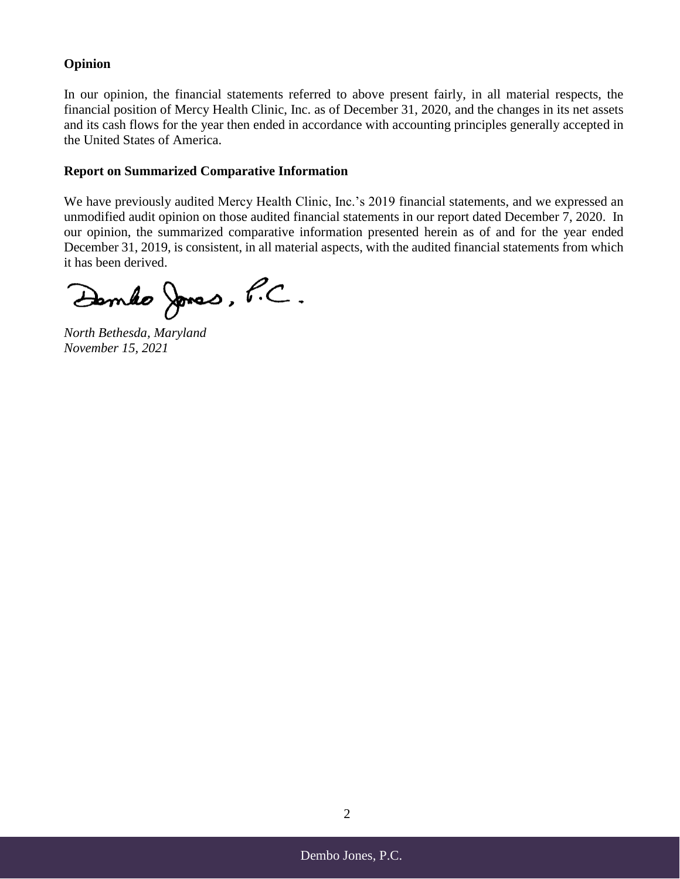## **Opinion**

In our opinion, the financial statements referred to above present fairly, in all material respects, the financial position of Mercy Health Clinic, Inc. as of December 31, 2020, and the changes in its net assets and its cash flows for the year then ended in accordance with accounting principles generally accepted in the United States of America.

## **Report on Summarized Comparative Information**

We have previously audited Mercy Health Clinic, Inc.'s 2019 financial statements, and we expressed an unmodified audit opinion on those audited financial statements in our report dated December 7, 2020. In our opinion, the summarized comparative information presented herein as of and for the year ended December 31, 2019, is consistent, in all material aspects, with the audited financial statements from which it has been derived.

Dembo Jones, P.C.

*North Bethesda, Maryland November 15, 2021*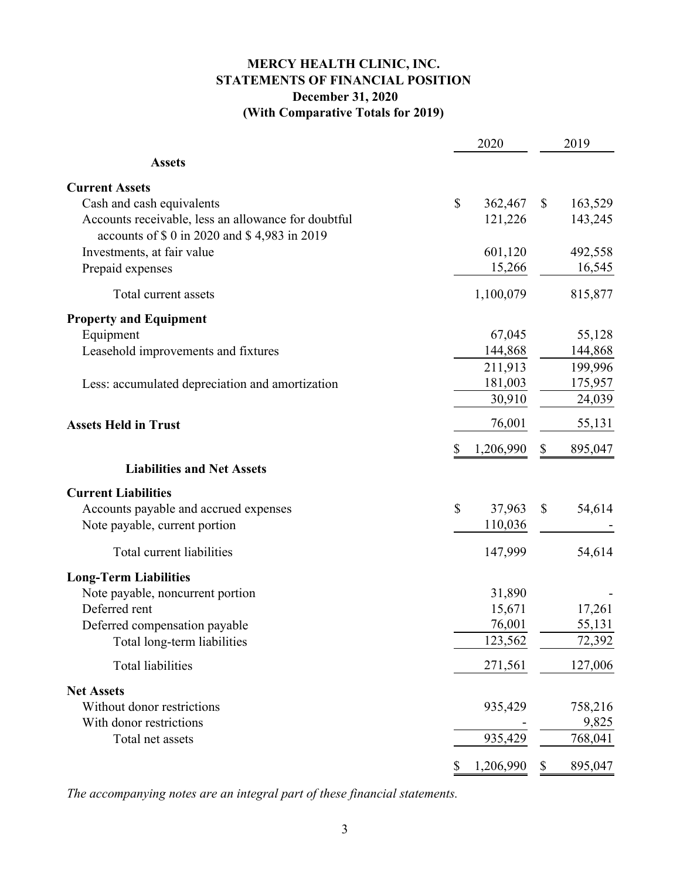## **MERCY HEALTH CLINIC, INC. STATEMENTS OF FINANCIAL POSITION December 31, 2020 (With Comparative Totals for 2019)**

|                                                                                                      |              | 2020      |    | 2019    |
|------------------------------------------------------------------------------------------------------|--------------|-----------|----|---------|
| <b>Assets</b>                                                                                        |              |           |    |         |
| <b>Current Assets</b>                                                                                |              |           |    |         |
| Cash and cash equivalents                                                                            | $\mathbb{S}$ | 362,467   | \$ | 163,529 |
| Accounts receivable, less an allowance for doubtful<br>accounts of \$ 0 in 2020 and \$ 4,983 in 2019 |              | 121,226   |    | 143,245 |
| Investments, at fair value                                                                           |              | 601,120   |    | 492,558 |
| Prepaid expenses                                                                                     |              | 15,266    |    | 16,545  |
| Total current assets                                                                                 |              | 1,100,079 |    | 815,877 |
| <b>Property and Equipment</b>                                                                        |              |           |    |         |
| Equipment                                                                                            |              | 67,045    |    | 55,128  |
| Leasehold improvements and fixtures                                                                  |              | 144,868   |    | 144,868 |
|                                                                                                      |              | 211,913   |    | 199,996 |
| Less: accumulated depreciation and amortization                                                      |              | 181,003   |    | 175,957 |
|                                                                                                      |              | 30,910    |    | 24,039  |
| <b>Assets Held in Trust</b>                                                                          |              | 76,001    |    | 55,131  |
|                                                                                                      | \$           | 1,206,990 | \$ | 895,047 |
| <b>Liabilities and Net Assets</b>                                                                    |              |           |    |         |
| <b>Current Liabilities</b>                                                                           |              |           |    |         |
| Accounts payable and accrued expenses                                                                | \$           | 37,963    | \$ | 54,614  |
| Note payable, current portion                                                                        |              | 110,036   |    |         |
| Total current liabilities                                                                            |              | 147,999   |    | 54,614  |
| <b>Long-Term Liabilities</b>                                                                         |              |           |    |         |
| Note payable, noncurrent portion                                                                     |              | 31,890    |    |         |
| Deferred rent                                                                                        |              | 15,671    |    | 17,261  |
| Deferred compensation payable                                                                        |              | 76,001    |    | 55,131  |
| Total long-term liabilities                                                                          |              | 123,562   |    | 72,392  |
| <b>Total liabilities</b>                                                                             |              | 271,561   |    | 127,006 |
| <b>Net Assets</b>                                                                                    |              |           |    |         |
| Without donor restrictions                                                                           |              | 935,429   |    | 758,216 |
| With donor restrictions                                                                              |              |           |    | 9,825   |
| Total net assets                                                                                     |              | 935,429   |    | 768,041 |
|                                                                                                      | \$           | 1,206,990 | \$ | 895,047 |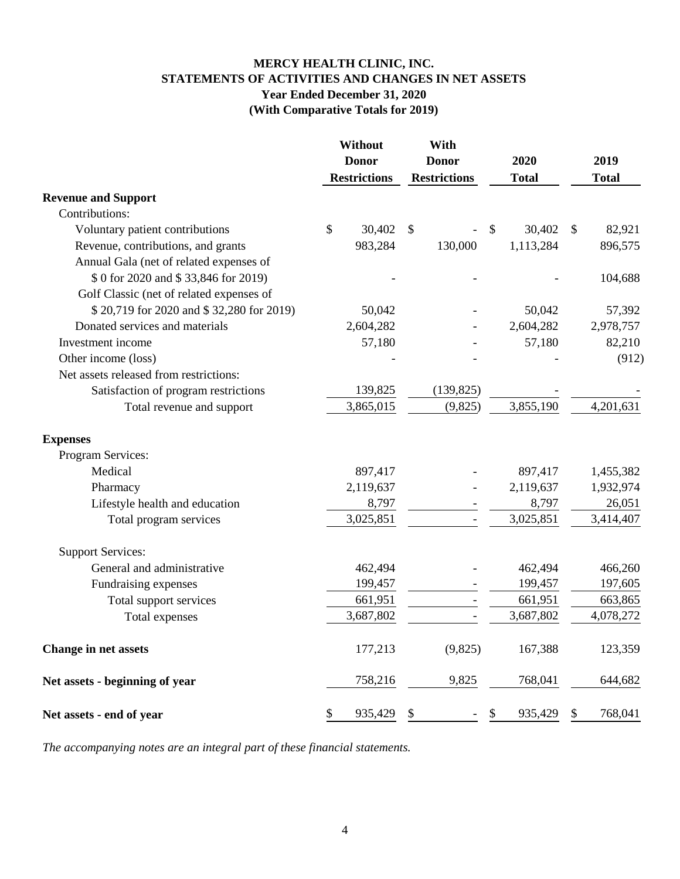## **MERCY HEALTH CLINIC, INC. STATEMENTS OF ACTIVITIES AND CHANGES IN NET ASSETS Year Ended December 31, 2020 (With Comparative Totals for 2019)**

|                                          | Without             | With                      |               |    |              |
|------------------------------------------|---------------------|---------------------------|---------------|----|--------------|
|                                          | <b>Donor</b>        | <b>Donor</b>              | 2020          |    | 2019         |
|                                          | <b>Restrictions</b> | <b>Restrictions</b>       | <b>Total</b>  |    | <b>Total</b> |
| <b>Revenue and Support</b>               |                     |                           |               |    |              |
| Contributions:                           |                     |                           |               |    |              |
| Voluntary patient contributions          | \$<br>30,402        | $\boldsymbol{\mathsf{S}}$ | \$<br>30,402  | -S | 82,921       |
| Revenue, contributions, and grants       | 983,284             | 130,000                   | 1,113,284     |    | 896,575      |
| Annual Gala (net of related expenses of  |                     |                           |               |    |              |
| \$ 0 for 2020 and \$ 33,846 for 2019)    |                     |                           |               |    | 104,688      |
| Golf Classic (net of related expenses of |                     |                           |               |    |              |
| \$20,719 for 2020 and \$32,280 for 2019) | 50,042              |                           | 50,042        |    | 57,392       |
| Donated services and materials           | 2,604,282           |                           | 2,604,282     |    | 2,978,757    |
| Investment income                        | 57,180              |                           | 57,180        |    | 82,210       |
| Other income (loss)                      |                     |                           |               |    | (912)        |
| Net assets released from restrictions:   |                     |                           |               |    |              |
| Satisfaction of program restrictions     | 139,825             | (139, 825)                |               |    |              |
| Total revenue and support                | 3,865,015           | (9,825)                   | 3,855,190     |    | 4,201,631    |
| <b>Expenses</b>                          |                     |                           |               |    |              |
| Program Services:                        |                     |                           |               |    |              |
| Medical                                  | 897,417             |                           | 897,417       |    | 1,455,382    |
| Pharmacy                                 | 2,119,637           |                           | 2,119,637     |    | 1,932,974    |
| Lifestyle health and education           | 8,797               |                           | 8,797         |    | 26,051       |
| Total program services                   | 3,025,851           |                           | 3,025,851     |    | 3,414,407    |
| <b>Support Services:</b>                 |                     |                           |               |    |              |
| General and administrative               | 462,494             |                           | 462,494       |    | 466,260      |
| Fundraising expenses                     | 199,457             |                           | 199,457       |    | 197,605      |
| Total support services                   | 661,951             |                           | 661,951       |    | 663,865      |
| Total expenses                           | 3,687,802           |                           | 3,687,802     |    | 4,078,272    |
| Change in net assets                     | 177,213             | (9,825)                   | 167,388       |    | 123,359      |
| Net assets - beginning of year           | 758,216             | 9,825                     | 768,041       |    | 644,682      |
| Net assets - end of year                 | \$<br>935,429       | \$                        | \$<br>935,429 | \$ | 768,041      |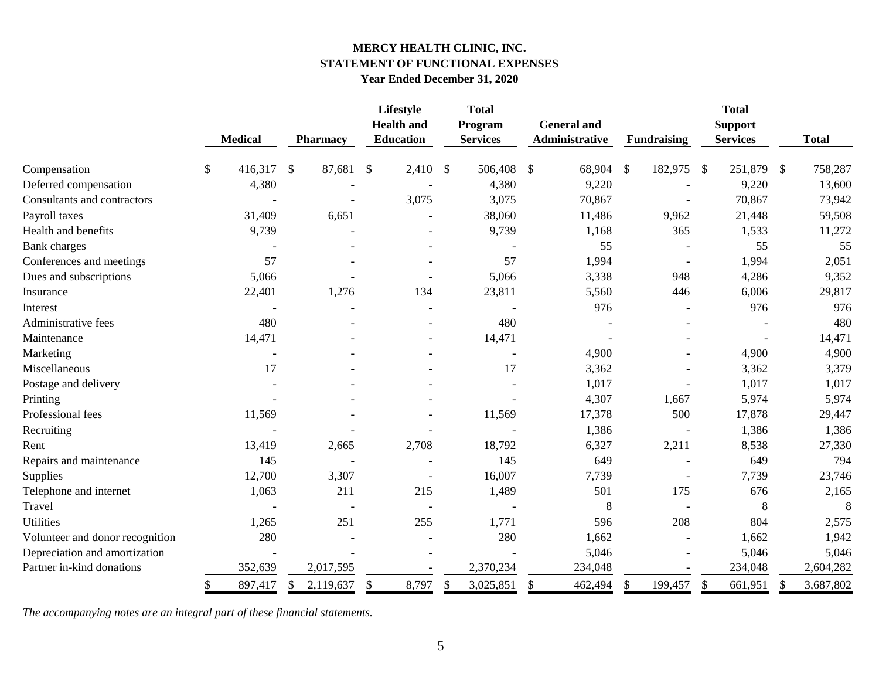## **MERCY HEALTH CLINIC, INC. STATEMENT OF FUNCTIONAL EXPENSES Year Ended December 31, 2020**

|                                 |                          |                         | Lifestyle                             |               | <b>Total</b>               |                           |                                      |                           |                    |                           | <b>Total</b>                      |               |              |
|---------------------------------|--------------------------|-------------------------|---------------------------------------|---------------|----------------------------|---------------------------|--------------------------------------|---------------------------|--------------------|---------------------------|-----------------------------------|---------------|--------------|
|                                 | <b>Medical</b>           | <b>Pharmacy</b>         | <b>Health and</b><br><b>Education</b> |               | Program<br><b>Services</b> |                           | <b>General</b> and<br>Administrative |                           | <b>Fundraising</b> |                           | <b>Support</b><br><b>Services</b> |               | <b>Total</b> |
|                                 |                          |                         |                                       |               |                            |                           |                                      |                           |                    |                           |                                   |               |              |
| Compensation                    | \$<br>416,317            | $\mathcal{S}$<br>87,681 | $\boldsymbol{\mathsf{S}}$<br>2,410    | $\mathcal{S}$ | 506,408                    | $\boldsymbol{\mathsf{S}}$ | 68,904                               | $\boldsymbol{\mathsf{S}}$ | 182,975            | $\boldsymbol{\mathsf{S}}$ | 251,879                           | $\mathcal{S}$ | 758,287      |
| Deferred compensation           | 4,380                    |                         |                                       |               | 4,380                      |                           | 9,220                                |                           |                    |                           | 9,220                             |               | 13,600       |
| Consultants and contractors     |                          |                         | 3,075                                 |               | 3,075                      |                           | 70,867                               |                           |                    |                           | 70,867                            |               | 73,942       |
| Payroll taxes                   | 31,409                   | 6,651                   |                                       |               | 38,060                     |                           | 11,486                               |                           | 9,962              |                           | 21,448                            |               | 59,508       |
| Health and benefits             | 9,739                    |                         |                                       |               | 9,739                      |                           | 1,168                                |                           | 365                |                           | 1,533                             |               | 11,272       |
| <b>Bank</b> charges             |                          |                         |                                       |               |                            |                           | 55                                   |                           |                    |                           | 55                                |               | 55           |
| Conferences and meetings        | 57                       |                         |                                       |               | 57                         |                           | 1,994                                |                           |                    |                           | 1,994                             |               | 2,051        |
| Dues and subscriptions          | 5,066                    |                         |                                       |               | 5,066                      |                           | 3,338                                |                           | 948                |                           | 4,286                             |               | 9,352        |
| Insurance                       | 22,401                   | 1,276                   | 134                                   |               | 23,811                     |                           | 5,560                                |                           | 446                |                           | 6,006                             |               | 29,817       |
| Interest                        |                          |                         |                                       |               |                            |                           | 976                                  |                           |                    |                           | 976                               |               | 976          |
| Administrative fees             | 480                      |                         |                                       |               | 480                        |                           |                                      |                           |                    |                           |                                   |               | 480          |
| Maintenance                     | 14,471                   |                         |                                       |               | 14,471                     |                           |                                      |                           |                    |                           |                                   |               | 14,471       |
| Marketing                       | $\overline{\phantom{a}}$ |                         |                                       |               |                            |                           | 4,900                                |                           |                    |                           | 4,900                             |               | 4,900        |
| Miscellaneous                   | 17                       |                         |                                       |               | 17                         |                           | 3,362                                |                           |                    |                           | 3,362                             |               | 3,379        |
| Postage and delivery            |                          |                         |                                       |               |                            |                           | 1,017                                |                           |                    |                           | 1,017                             |               | 1,017        |
| Printing                        |                          |                         |                                       |               |                            |                           | 4,307                                |                           | 1,667              |                           | 5,974                             |               | 5,974        |
| Professional fees               | 11,569                   |                         |                                       |               | 11,569                     |                           | 17,378                               |                           | 500                |                           | 17,878                            |               | 29,447       |
| Recruiting                      |                          |                         |                                       |               |                            |                           | 1,386                                |                           |                    |                           | 1,386                             |               | 1,386        |
| Rent                            | 13,419                   | 2,665                   | 2,708                                 |               | 18,792                     |                           | 6,327                                |                           | 2,211              |                           | 8,538                             |               | 27,330       |
| Repairs and maintenance         | 145                      |                         |                                       |               | 145                        |                           | 649                                  |                           |                    |                           | 649                               |               | 794          |
| <b>Supplies</b>                 | 12,700                   | 3,307                   |                                       |               | 16,007                     |                           | 7,739                                |                           |                    |                           | 7,739                             |               | 23,746       |
| Telephone and internet          | 1,063                    | 211                     | 215                                   |               | 1,489                      |                           | 501                                  |                           | 175                |                           | 676                               |               | 2,165        |
| Travel                          |                          |                         |                                       |               |                            |                           | 8                                    |                           |                    |                           | 8                                 |               | 8            |
| <b>Utilities</b>                | 1,265                    | 251                     | 255                                   |               | 1,771                      |                           | 596                                  |                           | 208                |                           | 804                               |               | 2,575        |
| Volunteer and donor recognition | 280                      |                         |                                       |               | 280                        |                           | 1,662                                |                           |                    |                           | 1,662                             |               | 1,942        |
| Depreciation and amortization   |                          |                         |                                       |               |                            |                           | 5,046                                |                           |                    |                           | 5,046                             |               | 5,046        |
| Partner in-kind donations       | 352,639                  | 2,017,595               |                                       |               | 2,370,234                  |                           | 234,048                              |                           |                    |                           | 234,048                           |               | 2,604,282    |
|                                 | \$<br>897,417            | 2,119,637<br>\$         | \$<br>8,797                           | \$            | 3,025,851                  | \$                        | 462,494                              | \$                        | 199,457            | \$                        | 661,951                           | \$            | 3,687,802    |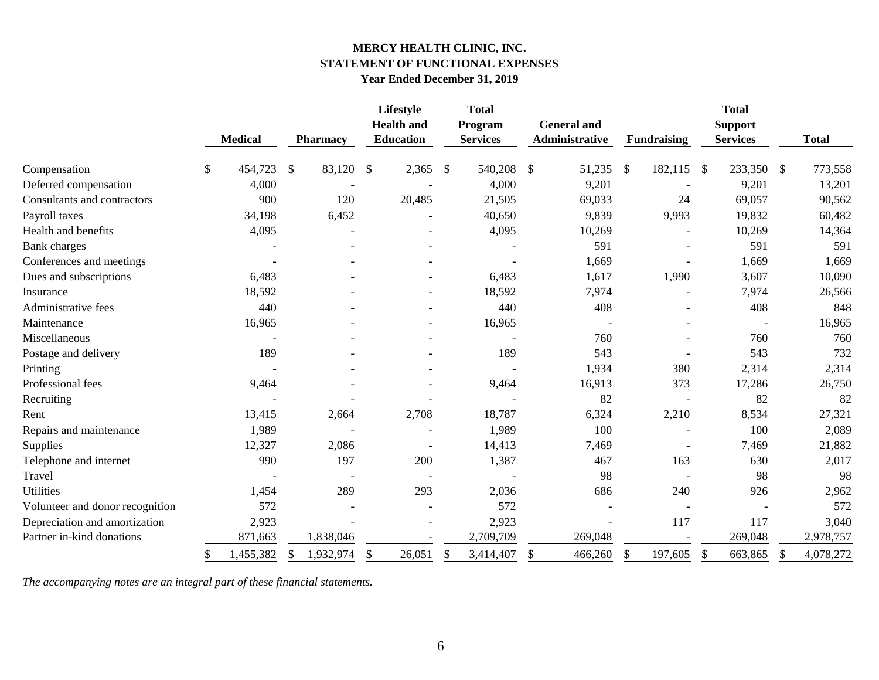## **MERCY HEALTH CLINIC, INC. STATEMENT OF FUNCTIONAL EXPENSES Year Ended December 31, 2019**

|                                 |               |                |               |                 |               | Lifestyle<br><b>Health</b> and |                         | <b>Total</b><br>Program |               | <b>General and</b> |               |                    |               | <b>Total</b><br><b>Support</b> |               |              |
|---------------------------------|---------------|----------------|---------------|-----------------|---------------|--------------------------------|-------------------------|-------------------------|---------------|--------------------|---------------|--------------------|---------------|--------------------------------|---------------|--------------|
|                                 |               | <b>Medical</b> |               | <b>Pharmacy</b> |               | <b>Education</b>               |                         | <b>Services</b>         |               | Administrative     |               | <b>Fundraising</b> |               | <b>Services</b>                |               | <b>Total</b> |
| Compensation                    | $\mathcal{S}$ | 454,723        | $\mathcal{S}$ | 83,120          | $\mathcal{S}$ | 2,365                          | $\sqrt[6]{\frac{1}{2}}$ | 540,208                 | $\mathcal{S}$ | 51,235             | $\mathcal{S}$ | 182,115            | $\mathcal{S}$ | 233,350                        | $\mathcal{S}$ | 773,558      |
| Deferred compensation           |               | 4,000          |               |                 |               |                                |                         | 4,000                   |               | 9,201              |               |                    |               | 9,201                          |               | 13,201       |
| Consultants and contractors     |               | 900            |               | 120             |               | 20,485                         |                         | 21,505                  |               | 69,033             |               | 24                 |               | 69,057                         |               | 90,562       |
| Payroll taxes                   |               | 34,198         |               | 6,452           |               |                                |                         | 40,650                  |               | 9,839              |               | 9,993              |               | 19,832                         |               | 60,482       |
| Health and benefits             |               | 4,095          |               |                 |               |                                |                         | 4,095                   |               | 10,269             |               |                    |               | 10,269                         |               | 14,364       |
| <b>Bank</b> charges             |               |                |               |                 |               |                                |                         |                         |               | 591                |               |                    |               | 591                            |               | 591          |
| Conferences and meetings        |               |                |               |                 |               |                                |                         |                         |               | 1,669              |               |                    |               | 1,669                          |               | 1,669        |
| Dues and subscriptions          |               | 6,483          |               |                 |               |                                |                         | 6,483                   |               | 1,617              |               | 1,990              |               | 3,607                          |               | 10,090       |
| Insurance                       |               | 18,592         |               |                 |               |                                |                         | 18,592                  |               | 7,974              |               |                    |               | 7,974                          |               | 26,566       |
| Administrative fees             |               | 440            |               |                 |               |                                |                         | 440                     |               | 408                |               |                    |               | 408                            |               | 848          |
| Maintenance                     |               | 16,965         |               |                 |               |                                |                         | 16,965                  |               |                    |               |                    |               |                                |               | 16,965       |
| Miscellaneous                   |               |                |               |                 |               |                                |                         |                         |               | 760                |               |                    |               | 760                            |               | 760          |
| Postage and delivery            |               | 189            |               |                 |               |                                |                         | 189                     |               | 543                |               |                    |               | 543                            |               | 732          |
| Printing                        |               |                |               |                 |               |                                |                         |                         |               | 1,934              |               | 380                |               | 2,314                          |               | 2,314        |
| Professional fees               |               | 9,464          |               |                 |               |                                |                         | 9,464                   |               | 16,913             |               | 373                |               | 17,286                         |               | 26,750       |
| Recruiting                      |               |                |               |                 |               |                                |                         |                         |               | 82                 |               |                    |               | 82                             |               | 82           |
| Rent                            |               | 13,415         |               | 2,664           |               | 2,708                          |                         | 18,787                  |               | 6,324              |               | 2,210              |               | 8,534                          |               | 27,321       |
| Repairs and maintenance         |               | 1,989          |               |                 |               |                                |                         | 1,989                   |               | 100                |               |                    |               | 100                            |               | 2,089        |
| Supplies                        |               | 12,327         |               | 2,086           |               |                                |                         | 14,413                  |               | 7,469              |               |                    |               | 7,469                          |               | 21,882       |
| Telephone and internet          |               | 990            |               | 197             |               | 200                            |                         | 1,387                   |               | 467                |               | 163                |               | 630                            |               | 2,017        |
| Travel                          |               |                |               |                 |               |                                |                         |                         |               | 98                 |               |                    |               | 98                             |               | 98           |
| <b>Utilities</b>                |               | 1,454          |               | 289             |               | 293                            |                         | 2,036                   |               | 686                |               | 240                |               | 926                            |               | 2,962        |
| Volunteer and donor recognition |               | 572            |               |                 |               |                                |                         | 572                     |               |                    |               |                    |               |                                |               | 572          |
| Depreciation and amortization   |               | 2,923          |               |                 |               |                                |                         | 2,923                   |               |                    |               | 117                |               | 117                            |               | 3,040        |
| Partner in-kind donations       |               | 871,663        |               | 1,838,046       |               |                                |                         | 2,709,709               |               | 269,048            |               |                    |               | 269,048                        |               | 2,978,757    |
|                                 | \$            | 1,455,382      | S.            | 1,932,974       | \$            | 26,051                         | \$                      | 3,414,407               | \$            | 466,260            | \$            | 197,605            | $\mathbb{S}$  | 663,865                        | \$            | 4,078,272    |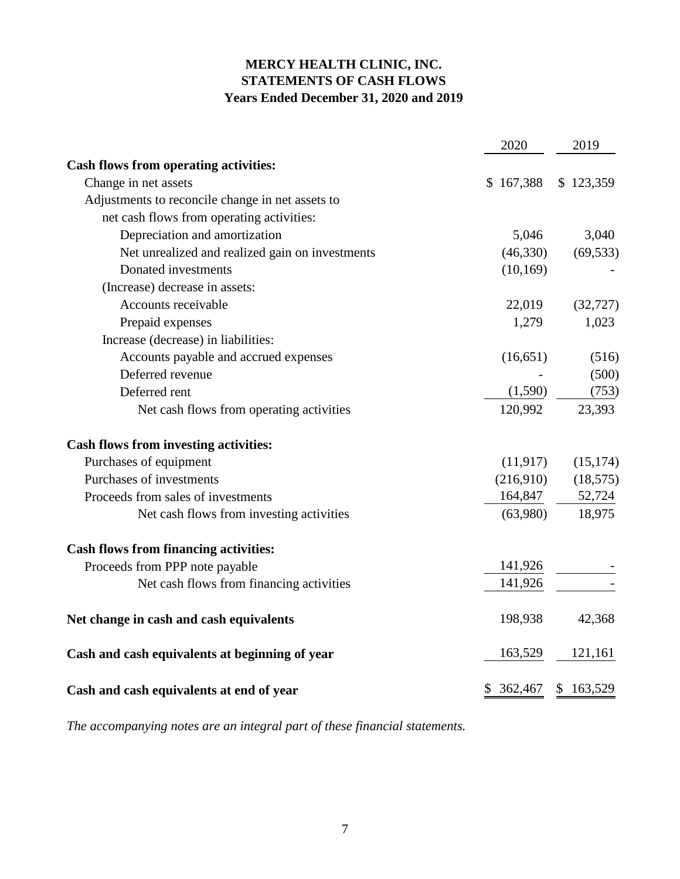## **MERCY HEALTH CLINIC, INC. STATEMENTS OF CASH FLOWS Years Ended December 31, 2020 and 2019**

|                                                  | 2020      | 2019          |
|--------------------------------------------------|-----------|---------------|
| <b>Cash flows from operating activities:</b>     |           |               |
| Change in net assets                             | \$167,388 | \$123,359     |
| Adjustments to reconcile change in net assets to |           |               |
| net cash flows from operating activities:        |           |               |
| Depreciation and amortization                    | 5,046     | 3,040         |
| Net unrealized and realized gain on investments  | (46,330)  | (69, 533)     |
| Donated investments                              | (10, 169) |               |
| (Increase) decrease in assets:                   |           |               |
| Accounts receivable                              | 22,019    | (32, 727)     |
| Prepaid expenses                                 | 1,279     | 1,023         |
| Increase (decrease) in liabilities:              |           |               |
| Accounts payable and accrued expenses            | (16, 651) | (516)         |
| Deferred revenue                                 |           | (500)         |
| Deferred rent                                    | (1,590)   | (753)         |
| Net cash flows from operating activities         | 120,992   | 23,393        |
| <b>Cash flows from investing activities:</b>     |           |               |
| Purchases of equipment                           | (11, 917) | (15, 174)     |
| Purchases of investments                         | (216,910) | (18, 575)     |
| Proceeds from sales of investments               | 164,847   | 52,724        |
| Net cash flows from investing activities         | (63,980)  | 18,975        |
| <b>Cash flows from financing activities:</b>     |           |               |
| Proceeds from PPP note payable                   | 141,926   |               |
| Net cash flows from financing activities         | 141,926   |               |
| Net change in cash and cash equivalents          | 198,938   | 42,368        |
| Cash and cash equivalents at beginning of year   | 163,529   | 121,161       |
| Cash and cash equivalents at end of year         | \$362,467 | 163,529<br>\$ |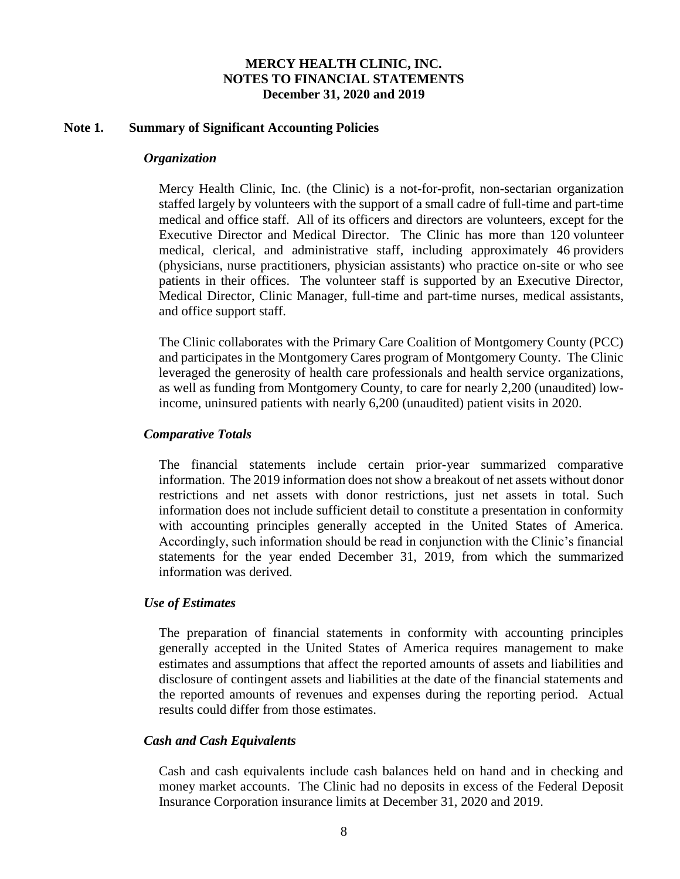#### **Note 1. Summary of Significant Accounting Policies**

#### *Organization*

Mercy Health Clinic, Inc. (the Clinic) is a not-for-profit, non-sectarian organization staffed largely by volunteers with the support of a small cadre of full-time and part-time medical and office staff. All of its officers and directors are volunteers, except for the Executive Director and Medical Director. The Clinic has more than 120 volunteer medical, clerical, and administrative staff, including approximately 46 providers (physicians, nurse practitioners, physician assistants) who practice on-site or who see patients in their offices. The volunteer staff is supported by an Executive Director, Medical Director, Clinic Manager, full-time and part-time nurses, medical assistants, and office support staff.

The Clinic collaborates with the Primary Care Coalition of Montgomery County (PCC) and participates in the Montgomery Cares program of Montgomery County. The Clinic leveraged the generosity of health care professionals and health service organizations, as well as funding from Montgomery County, to care for nearly 2,200 (unaudited) lowincome, uninsured patients with nearly 6,200 (unaudited) patient visits in 2020.

## *Comparative Totals*

The financial statements include certain prior-year summarized comparative information. The 2019 information does not show a breakout of net assets without donor restrictions and net assets with donor restrictions, just net assets in total. Such information does not include sufficient detail to constitute a presentation in conformity with accounting principles generally accepted in the United States of America. Accordingly, such information should be read in conjunction with the Clinic's financial statements for the year ended December 31, 2019, from which the summarized information was derived.

#### *Use of Estimates*

The preparation of financial statements in conformity with accounting principles generally accepted in the United States of America requires management to make estimates and assumptions that affect the reported amounts of assets and liabilities and disclosure of contingent assets and liabilities at the date of the financial statements and the reported amounts of revenues and expenses during the reporting period. Actual results could differ from those estimates.

#### *Cash and Cash Equivalents*

Cash and cash equivalents include cash balances held on hand and in checking and money market accounts. The Clinic had no deposits in excess of the Federal Deposit Insurance Corporation insurance limits at December 31, 2020 and 2019.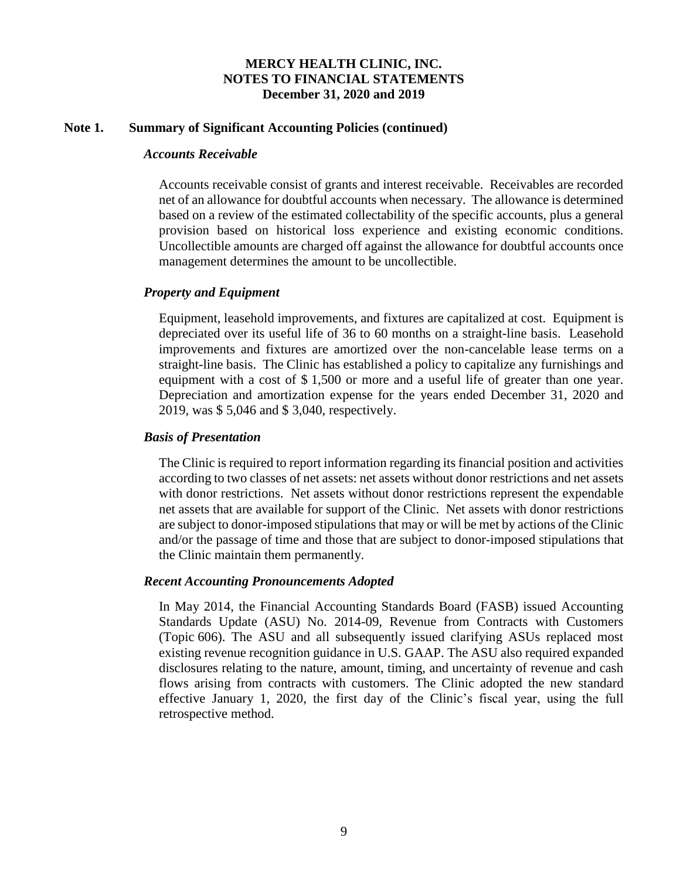### **Note 1. Summary of Significant Accounting Policies (continued)**

## *Accounts Receivable*

Accounts receivable consist of grants and interest receivable. Receivables are recorded net of an allowance for doubtful accounts when necessary. The allowance is determined based on a review of the estimated collectability of the specific accounts, plus a general provision based on historical loss experience and existing economic conditions. Uncollectible amounts are charged off against the allowance for doubtful accounts once management determines the amount to be uncollectible.

## *Property and Equipment*

Equipment, leasehold improvements, and fixtures are capitalized at cost. Equipment is depreciated over its useful life of 36 to 60 months on a straight-line basis. Leasehold improvements and fixtures are amortized over the non-cancelable lease terms on a straight-line basis. The Clinic has established a policy to capitalize any furnishings and equipment with a cost of \$ 1,500 or more and a useful life of greater than one year. Depreciation and amortization expense for the years ended December 31, 2020 and 2019, was \$ 5,046 and \$ 3,040, respectively.

### *Basis of Presentation*

The Clinic is required to report information regarding its financial position and activities according to two classes of net assets: net assets without donor restrictions and net assets with donor restrictions. Net assets without donor restrictions represent the expendable net assets that are available for support of the Clinic. Net assets with donor restrictions are subject to donor-imposed stipulations that may or will be met by actions of the Clinic and/or the passage of time and those that are subject to donor-imposed stipulations that the Clinic maintain them permanently.

#### *Recent Accounting Pronouncements Adopted*

In May 2014, the Financial Accounting Standards Board (FASB) issued Accounting Standards Update (ASU) No. 2014-09, Revenue from Contracts with Customers (Topic 606). The ASU and all subsequently issued clarifying ASUs replaced most existing revenue recognition guidance in U.S. GAAP. The ASU also required expanded disclosures relating to the nature, amount, timing, and uncertainty of revenue and cash flows arising from contracts with customers. The Clinic adopted the new standard effective January 1, 2020, the first day of the Clinic's fiscal year, using the full retrospective method.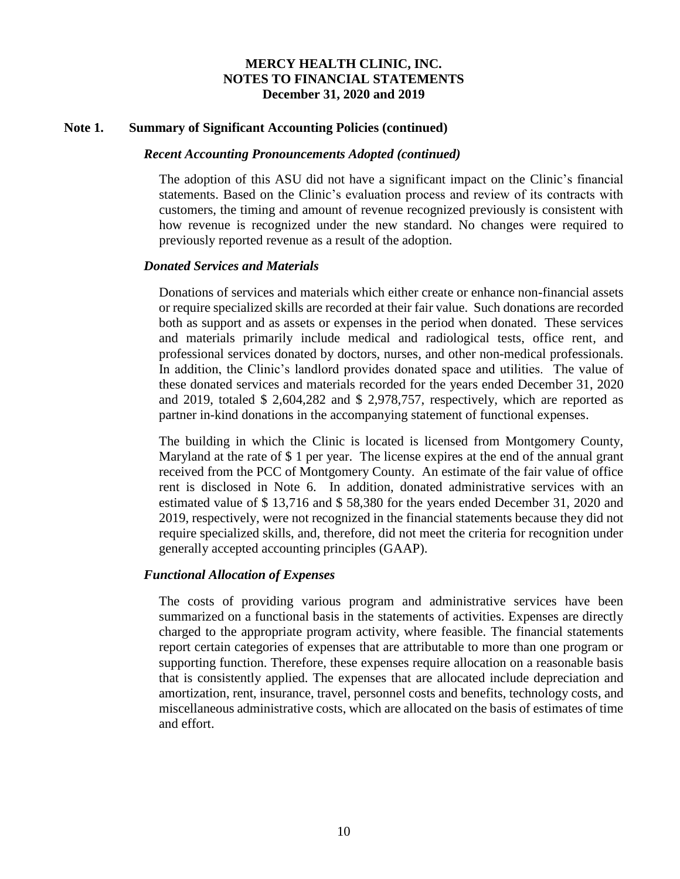#### **Note 1. Summary of Significant Accounting Policies (continued)**

#### *Recent Accounting Pronouncements Adopted (continued)*

The adoption of this ASU did not have a significant impact on the Clinic's financial statements. Based on the Clinic's evaluation process and review of its contracts with customers, the timing and amount of revenue recognized previously is consistent with how revenue is recognized under the new standard. No changes were required to previously reported revenue as a result of the adoption.

#### *Donated Services and Materials*

Donations of services and materials which either create or enhance non-financial assets or require specialized skills are recorded at their fair value. Such donations are recorded both as support and as assets or expenses in the period when donated. These services and materials primarily include medical and radiological tests, office rent, and professional services donated by doctors, nurses, and other non-medical professionals. In addition, the Clinic's landlord provides donated space and utilities. The value of these donated services and materials recorded for the years ended December 31, 2020 and 2019, totaled \$ 2,604,282 and \$ 2,978,757, respectively, which are reported as partner in-kind donations in the accompanying statement of functional expenses.

The building in which the Clinic is located is licensed from Montgomery County, Maryland at the rate of \$ 1 per year. The license expires at the end of the annual grant received from the PCC of Montgomery County. An estimate of the fair value of office rent is disclosed in Note 6. In addition, donated administrative services with an estimated value of \$ 13,716 and \$ 58,380 for the years ended December 31, 2020 and 2019, respectively, were not recognized in the financial statements because they did not require specialized skills, and, therefore, did not meet the criteria for recognition under generally accepted accounting principles (GAAP).

## *Functional Allocation of Expenses*

The costs of providing various program and administrative services have been summarized on a functional basis in the statements of activities. Expenses are directly charged to the appropriate program activity, where feasible. The financial statements report certain categories of expenses that are attributable to more than one program or supporting function. Therefore, these expenses require allocation on a reasonable basis that is consistently applied. The expenses that are allocated include depreciation and amortization, rent, insurance, travel, personnel costs and benefits, technology costs, and miscellaneous administrative costs, which are allocated on the basis of estimates of time and effort.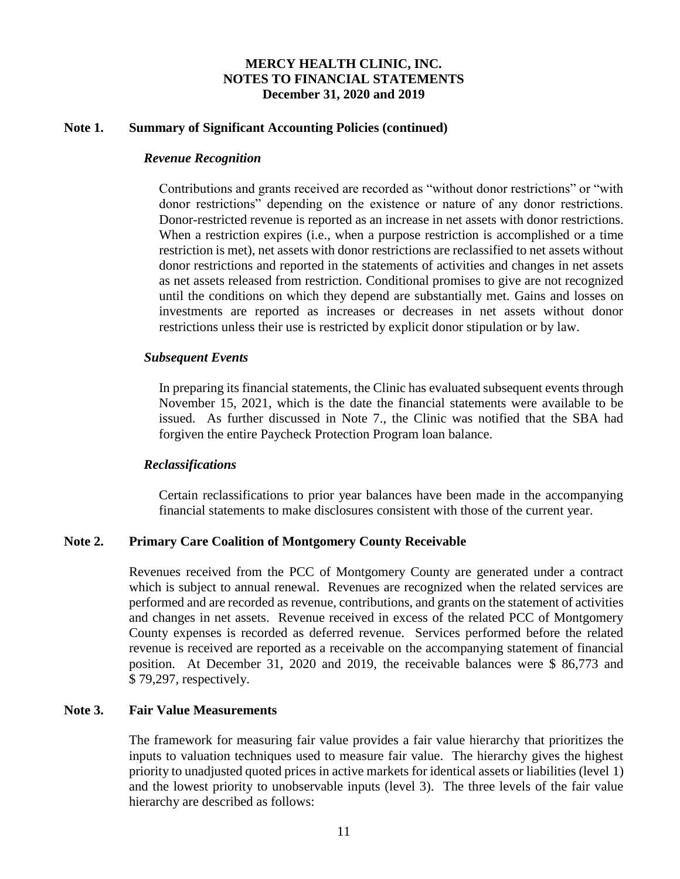### **Note 1. Summary of Significant Accounting Policies (continued)**

#### *Revenue Recognition*

Contributions and grants received are recorded as "without donor restrictions" or "with donor restrictions" depending on the existence or nature of any donor restrictions. Donor-restricted revenue is reported as an increase in net assets with donor restrictions. When a restriction expires (i.e., when a purpose restriction is accomplished or a time restriction is met), net assets with donor restrictions are reclassified to net assets without donor restrictions and reported in the statements of activities and changes in net assets as net assets released from restriction. Conditional promises to give are not recognized until the conditions on which they depend are substantially met. Gains and losses on investments are reported as increases or decreases in net assets without donor restrictions unless their use is restricted by explicit donor stipulation or by law.

#### *Subsequent Events*

In preparing its financial statements, the Clinic has evaluated subsequent events through November 15, 2021, which is the date the financial statements were available to be issued. As further discussed in Note 7., the Clinic was notified that the SBA had forgiven the entire Paycheck Protection Program loan balance.

#### *Reclassifications*

Certain reclassifications to prior year balances have been made in the accompanying financial statements to make disclosures consistent with those of the current year.

## **Note 2. Primary Care Coalition of Montgomery County Receivable**

Revenues received from the PCC of Montgomery County are generated under a contract which is subject to annual renewal. Revenues are recognized when the related services are performed and are recorded as revenue, contributions, and grants on the statement of activities and changes in net assets. Revenue received in excess of the related PCC of Montgomery County expenses is recorded as deferred revenue. Services performed before the related revenue is received are reported as a receivable on the accompanying statement of financial position. At December 31, 2020 and 2019, the receivable balances were \$ 86,773 and \$ 79,297, respectively.

#### **Note 3. Fair Value Measurements**

The framework for measuring fair value provides a fair value hierarchy that prioritizes the inputs to valuation techniques used to measure fair value. The hierarchy gives the highest priority to unadjusted quoted prices in active markets for identical assets or liabilities (level 1) and the lowest priority to unobservable inputs (level 3). The three levels of the fair value hierarchy are described as follows: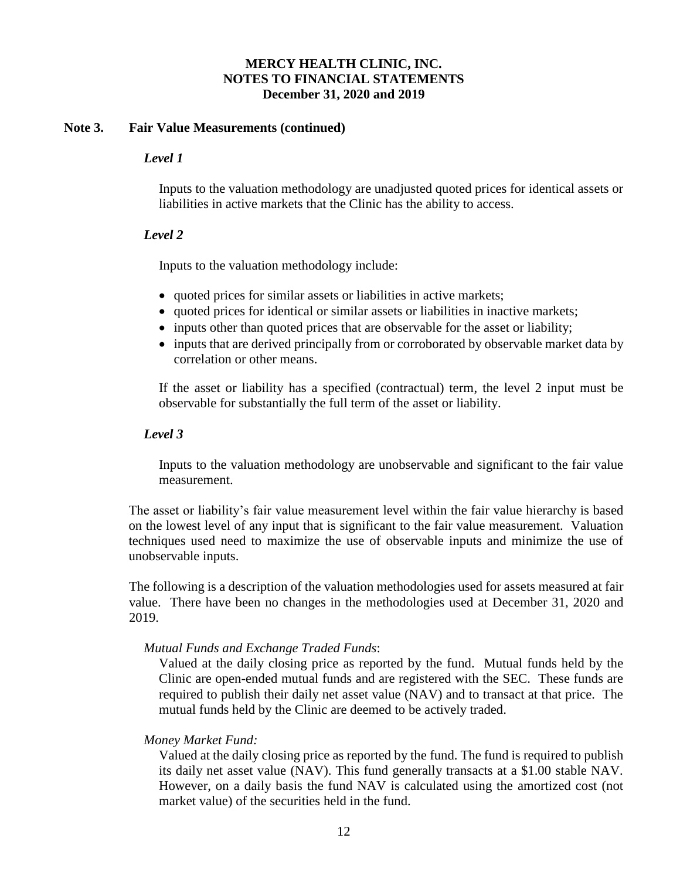## **Note 3. Fair Value Measurements (continued)**

## *Level 1*

Inputs to the valuation methodology are unadjusted quoted prices for identical assets or liabilities in active markets that the Clinic has the ability to access.

## *Level 2*

Inputs to the valuation methodology include:

- quoted prices for similar assets or liabilities in active markets;
- quoted prices for identical or similar assets or liabilities in inactive markets;
- inputs other than quoted prices that are observable for the asset or liability;
- inputs that are derived principally from or corroborated by observable market data by correlation or other means.

If the asset or liability has a specified (contractual) term, the level 2 input must be observable for substantially the full term of the asset or liability.

## *Level 3*

Inputs to the valuation methodology are unobservable and significant to the fair value measurement.

The asset or liability's fair value measurement level within the fair value hierarchy is based on the lowest level of any input that is significant to the fair value measurement. Valuation techniques used need to maximize the use of observable inputs and minimize the use of unobservable inputs.

The following is a description of the valuation methodologies used for assets measured at fair value. There have been no changes in the methodologies used at December 31, 2020 and 2019.

## *Mutual Funds and Exchange Traded Funds*:

Valued at the daily closing price as reported by the fund. Mutual funds held by the Clinic are open-ended mutual funds and are registered with the SEC. These funds are required to publish their daily net asset value (NAV) and to transact at that price. The mutual funds held by the Clinic are deemed to be actively traded.

## *Money Market Fund:*

Valued at the daily closing price as reported by the fund. The fund is required to publish its daily net asset value (NAV). This fund generally transacts at a \$1.00 stable NAV. However, on a daily basis the fund NAV is calculated using the amortized cost (not market value) of the securities held in the fund.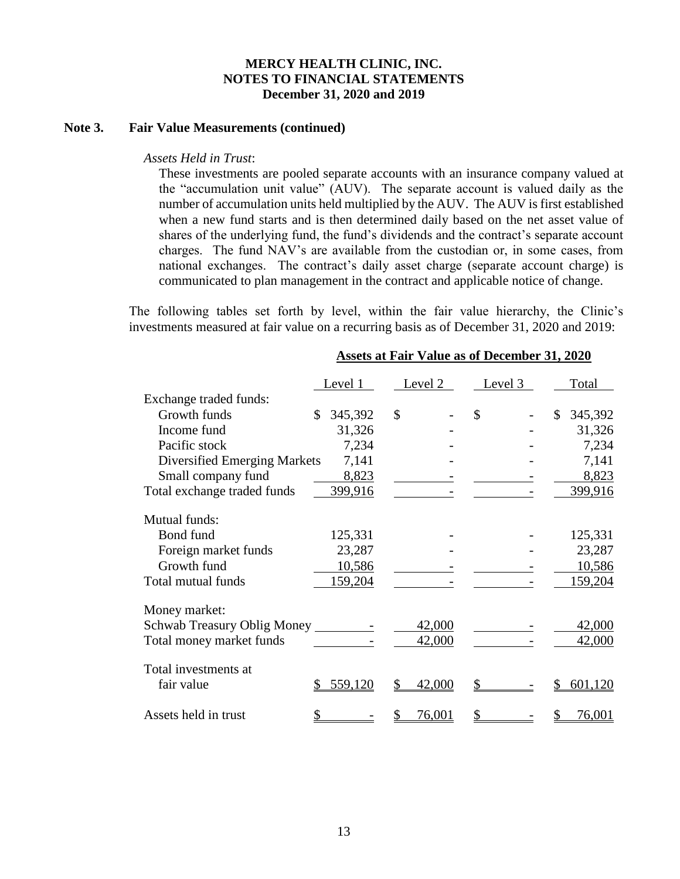### **Note 3. Fair Value Measurements (continued)**

#### *Assets Held in Trust*:

These investments are pooled separate accounts with an insurance company valued at the "accumulation unit value" (AUV). The separate account is valued daily as the number of accumulation units held multiplied by the AUV. The AUV is first established when a new fund starts and is then determined daily based on the net asset value of shares of the underlying fund, the fund's dividends and the contract's separate account charges. The fund NAV's are available from the custodian or, in some cases, from national exchanges. The contract's daily asset charge (separate account charge) is communicated to plan management in the contract and applicable notice of change.

The following tables set forth by level, within the fair value hierarchy, the Clinic's investments measured at fair value on a recurring basis as of December 31, 2020 and 2019:

|                              | Level 1       | Level 2 | Level 3 | Total                   |
|------------------------------|---------------|---------|---------|-------------------------|
| Exchange traded funds:       |               |         |         |                         |
| Growth funds                 | 345,392<br>\$ | \$      | \$      | $\mathbb{S}$<br>345,392 |
| Income fund                  | 31,326        |         |         | 31,326                  |
| Pacific stock                | 7,234         |         |         | 7,234                   |
| Diversified Emerging Markets | 7,141         |         |         | 7,141                   |
| Small company fund           | 8,823         |         |         | 8,823                   |
| Total exchange traded funds  | 399,916       |         |         | 399,916                 |
| Mutual funds:                |               |         |         |                         |
| Bond fund                    | 125,331       |         |         | 125,331                 |
| Foreign market funds         | 23,287        |         |         | 23,287                  |
| Growth fund                  | 10,586        |         |         | 10,586                  |
| Total mutual funds           | 159,204       |         |         | <u>159,204</u>          |
|                              |               |         |         |                         |
| Money market:                |               |         |         |                         |
| Schwab Treasury Oblig Money  |               | 42,000  |         | 42,000                  |
| Total money market funds     |               | 42,000  |         | 42,000                  |
| Total investments at         |               |         |         |                         |
| fair value                   | 559,120       | 42,000  |         | 601,120                 |
| Assets held in trust         |               | 76,001  |         | 76,001                  |

#### **Assets at Fair Value as of December 31, 2020**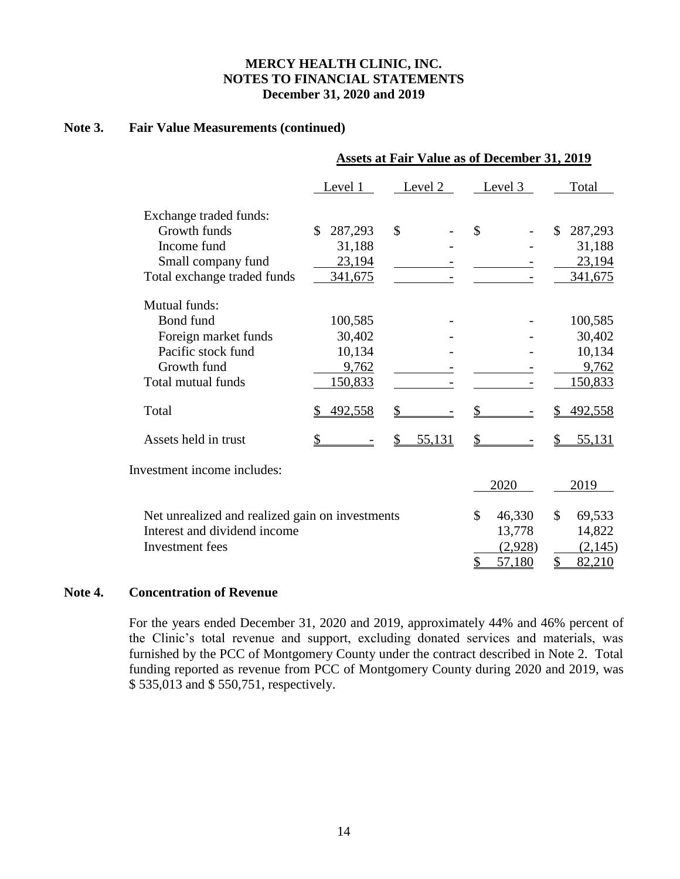## **Note 3. Fair Value Measurements (continued)**

|                                                 | <b>Assets at Fair Value as of December 31, 2019</b> |         |              |                         |  |  |  |  |  |  |
|-------------------------------------------------|-----------------------------------------------------|---------|--------------|-------------------------|--|--|--|--|--|--|
|                                                 | Level 1                                             | Level 2 | Level 3      | Total                   |  |  |  |  |  |  |
| Exchange traded funds:                          |                                                     |         |              |                         |  |  |  |  |  |  |
| Growth funds                                    | 287,293<br>\$                                       | \$      | \$           | \$<br>287,293           |  |  |  |  |  |  |
| Income fund                                     | 31,188                                              |         |              | 31,188                  |  |  |  |  |  |  |
| Small company fund                              | 23,194                                              |         |              | 23,194                  |  |  |  |  |  |  |
| Total exchange traded funds                     | 341,675                                             |         |              | 341,675                 |  |  |  |  |  |  |
| Mutual funds:                                   |                                                     |         |              |                         |  |  |  |  |  |  |
| Bond fund                                       | 100,585                                             |         |              | 100,585                 |  |  |  |  |  |  |
| Foreign market funds                            | 30,402                                              |         |              | 30,402                  |  |  |  |  |  |  |
| Pacific stock fund                              | 10,134                                              |         |              | 10,134                  |  |  |  |  |  |  |
| Growth fund                                     | 9,762                                               |         |              | 9,762                   |  |  |  |  |  |  |
| Total mutual funds                              | 150,833                                             |         |              | 150,833                 |  |  |  |  |  |  |
| Total                                           | 492,558                                             | \$      | \$           | 492,558                 |  |  |  |  |  |  |
| Assets held in trust                            | \$                                                  | 55,131  | \$           | 55,131                  |  |  |  |  |  |  |
| Investment income includes:                     |                                                     |         |              |                         |  |  |  |  |  |  |
|                                                 |                                                     |         | 2020         | 2019                    |  |  |  |  |  |  |
| Net unrealized and realized gain on investments |                                                     |         | \$<br>46,330 | $\mathcal{S}$<br>69,533 |  |  |  |  |  |  |
| Interest and dividend income                    |                                                     |         | 13,778       | 14,822                  |  |  |  |  |  |  |
| Investment fees                                 |                                                     |         | (2,928)      | (2,145)                 |  |  |  |  |  |  |
|                                                 |                                                     |         | \$<br>57,180 | \$<br>82,210            |  |  |  |  |  |  |

### **Note 4. Concentration of Revenue**

For the years ended December 31, 2020 and 2019, approximately 44% and 46% percent of the Clinic's total revenue and support, excluding donated services and materials, was furnished by the PCC of Montgomery County under the contract described in Note 2. Total funding reported as revenue from PCC of Montgomery County during 2020 and 2019, was \$ 535,013 and \$ 550,751, respectively.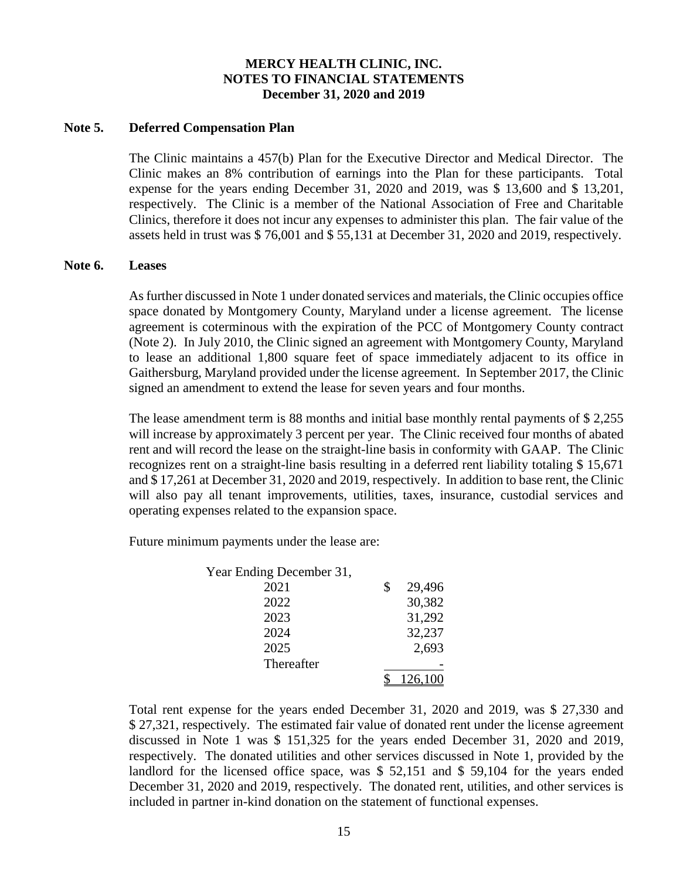### **Note 5. Deferred Compensation Plan**

The Clinic maintains a 457(b) Plan for the Executive Director and Medical Director. The Clinic makes an 8% contribution of earnings into the Plan for these participants. Total expense for the years ending December 31, 2020 and 2019, was \$ 13,600 and \$ 13,201, respectively. The Clinic is a member of the National Association of Free and Charitable Clinics, therefore it does not incur any expenses to administer this plan. The fair value of the assets held in trust was \$ 76,001 and \$ 55,131 at December 31, 2020 and 2019, respectively.

#### **Note 6. Leases**

As further discussed in Note 1 under donated services and materials, the Clinic occupies office space donated by Montgomery County, Maryland under a license agreement. The license agreement is coterminous with the expiration of the PCC of Montgomery County contract (Note 2). In July 2010, the Clinic signed an agreement with Montgomery County, Maryland to lease an additional 1,800 square feet of space immediately adjacent to its office in Gaithersburg, Maryland provided under the license agreement. In September 2017, the Clinic signed an amendment to extend the lease for seven years and four months.

The lease amendment term is 88 months and initial base monthly rental payments of \$ 2,255 will increase by approximately 3 percent per year. The Clinic received four months of abated rent and will record the lease on the straight-line basis in conformity with GAAP. The Clinic recognizes rent on a straight-line basis resulting in a deferred rent liability totaling \$ 15,671 and \$ 17,261 at December 31, 2020 and 2019, respectively. In addition to base rent, the Clinic will also pay all tenant improvements, utilities, taxes, insurance, custodial services and operating expenses related to the expansion space.

Future minimum payments under the lease are:

| Year Ending December 31, |              |
|--------------------------|--------------|
| 2021                     | \$<br>29,496 |
| 2022                     | 30,382       |
| 2023                     | 31,292       |
| 2024                     | 32,237       |
| 2025                     | 2,693        |
| Thereafter               |              |
|                          | 126,100      |

Total rent expense for the years ended December 31, 2020 and 2019, was \$ 27,330 and \$ 27,321, respectively. The estimated fair value of donated rent under the license agreement discussed in Note 1 was \$ 151,325 for the years ended December 31, 2020 and 2019, respectively. The donated utilities and other services discussed in Note 1, provided by the landlord for the licensed office space, was \$ 52,151 and \$ 59,104 for the years ended December 31, 2020 and 2019, respectively. The donated rent, utilities, and other services is included in partner in-kind donation on the statement of functional expenses.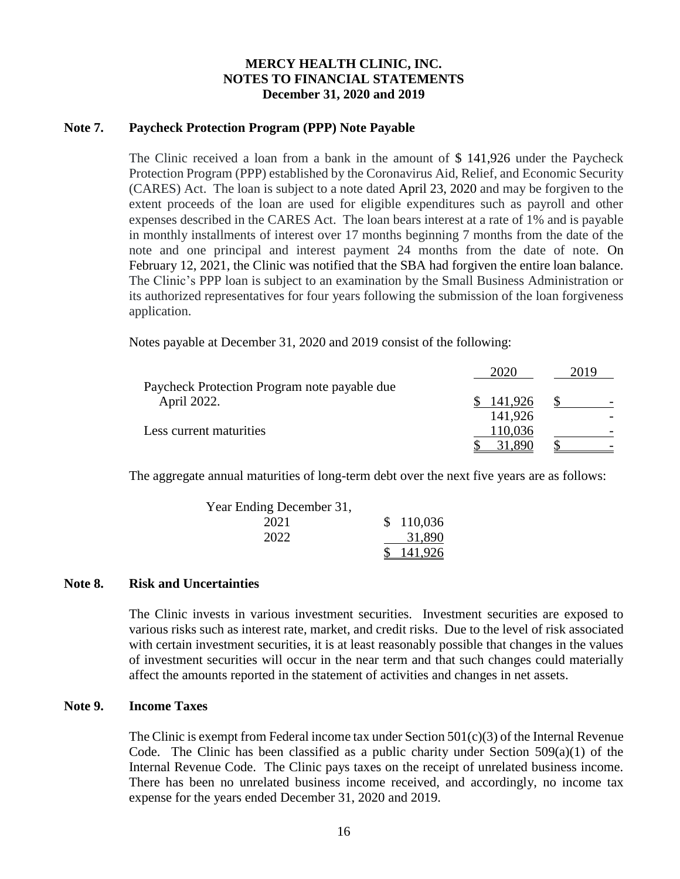## **Note 7. Paycheck Protection Program (PPP) Note Payable**

The Clinic received a loan from a bank in the amount of \$ 141,926 under the Paycheck Protection Program (PPP) established by the Coronavirus Aid, Relief, and Economic Security (CARES) Act. The loan is subject to a note dated April 23, 2020 and may be forgiven to the extent proceeds of the loan are used for eligible expenditures such as payroll and other expenses described in the CARES Act. The loan bears interest at a rate of 1% and is payable in monthly installments of interest over 17 months beginning 7 months from the date of the note and one principal and interest payment 24 months from the date of note. On February 12, 2021, the Clinic was notified that the SBA had forgiven the entire loan balance. The Clinic's PPP loan is subject to an examination by the Small Business Administration or its authorized representatives for four years following the submission of the loan forgiveness application.

Notes payable at December 31, 2020 and 2019 consist of the following:

|                                              |         | 2019 |
|----------------------------------------------|---------|------|
| Paycheck Protection Program note payable due |         |      |
| April 2022.                                  | 141.926 |      |
|                                              | 141,926 |      |
| Less current maturities                      | 110,036 |      |
|                                              |         |      |

The aggregate annual maturities of long-term debt over the next five years are as follows:

| Year Ending December 31, |           |
|--------------------------|-----------|
| 2021                     | \$110,036 |
| 2022                     | 31,890    |
|                          | 141,926   |

## **Note 8. Risk and Uncertainties**

The Clinic invests in various investment securities. Investment securities are exposed to various risks such as interest rate, market, and credit risks. Due to the level of risk associated with certain investment securities, it is at least reasonably possible that changes in the values of investment securities will occur in the near term and that such changes could materially affect the amounts reported in the statement of activities and changes in net assets.

#### **Note 9. Income Taxes**

The Clinic is exempt from Federal income tax under Section  $501(c)(3)$  of the Internal Revenue Code. The Clinic has been classified as a public charity under Section  $509(a)(1)$  of the Internal Revenue Code. The Clinic pays taxes on the receipt of unrelated business income. There has been no unrelated business income received, and accordingly, no income tax expense for the years ended December 31, 2020 and 2019.